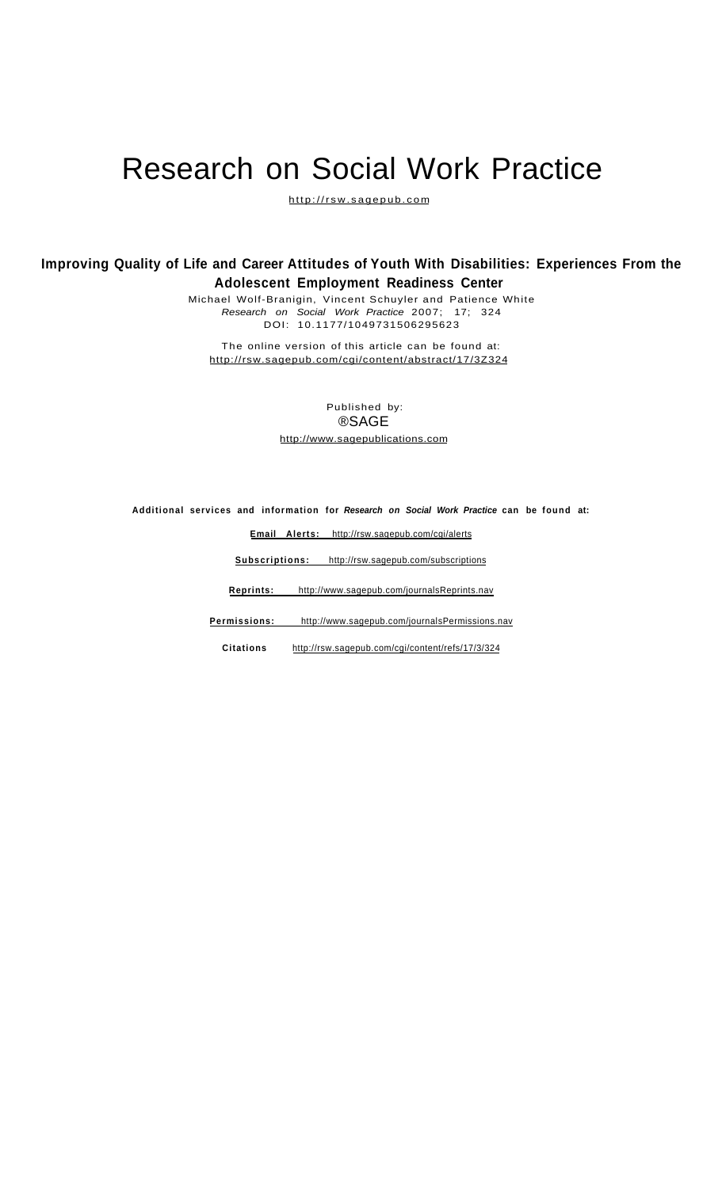# Research on Social Work Practice

[http://rsw.sagepub.co](http://rsw.sagepub.com)m

# **Improving Quality of Life and Career Attitudes of Youth With Disabilities: Experiences From the Adolescent Employment Readiness Center**

Michael Wolf-Branigin, Vincent Schuyler and Patience White Research on Social Work Practice 2007; 17; 324 DOI: 10.1177/1049731506295623

The online version of this article can be found at: <http://rsw.sagepub.com/cgi/content/abstract/17/3Z324>

> Published by: ®SAGE <http://www.sagepublications.com>

**Additional services and information for Research on Social Work Practice can be found at:** 

**Email Alerts:**<http://rsw.sagepub.com/cgi/alerts>

**Subscriptions:**<http://rsw.sagepub.com/subscriptions>

**Reprints:**<http://www.sagepub.com/journalsReprints.nav>

**Permissions:**<http://www.sagepub.com/journalsPermissions.nav>

**Citations** <http://rsw.sagepub.com/cgi/content/refs/17/3/324>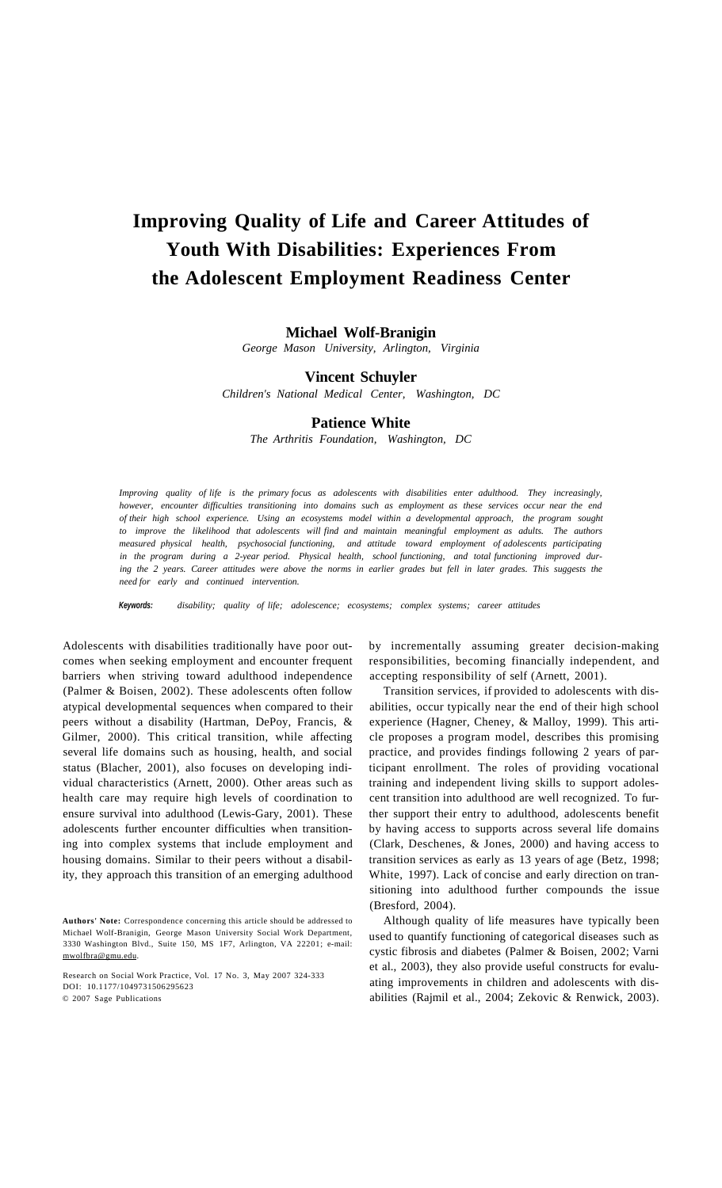# **Improving Quality of Life and Career Attitudes of Youth With Disabilities: Experiences From the Adolescent Employment Readiness Center**

# **Michael Wolf-Branigin**

*George Mason University, Arlington, Virginia* 

# **Vincent Schuyler**

*Children's National Medical Center, Washington, DC* 

# **Patience White**

*The Arthritis Foundation, Washington, DC* 

*Improving quality of life is the primary focus as adolescents with disabilities enter adulthood. They increasingly, however, encounter difficulties transitioning into domains such as employment as these services occur near the end of their high school experience. Using an ecosystems model within a developmental approach, the program sought to improve the likelihood that adolescents will find and maintain meaningful employment as adults. The authors measured physical health, psychosocial functioning, and attitude toward employment of adolescents participating in the program during a 2-year period. Physical health, school functioning, and total functioning improved dur*ing the 2 years. Career attitudes were above the norms in earlier grades but fell in later grades. This suggests the *need for early and continued intervention.* 

**Keywords:** *disability; quality of life; adolescence; ecosystems; complex systems; career attitudes* 

Adolescents with disabilities traditionally have poor outcomes when seeking employment and encounter frequent barriers when striving toward adulthood independence (Palmer & Boisen, 2002). These adolescents often follow atypical developmental sequences when compared to their peers without a disability (Hartman, DePoy, Francis, & Gilmer, 2000). This critical transition, while affecting several life domains such as housing, health, and social status (Blacher, 2001), also focuses on developing individual characteristics (Arnett, 2000). Other areas such as health care may require high levels of coordination to ensure survival into adulthood (Lewis-Gary, 2001). These adolescents further encounter difficulties when transitioning into complex systems that include employment and housing domains. Similar to their peers without a disability, they approach this transition of an emerging adulthood by incrementally assuming greater decision-making responsibilities, becoming financially independent, and accepting responsibility of self (Arnett, 2001).

Transition services, if provided to adolescents with disabilities, occur typically near the end of their high school experience (Hagner, Cheney, & Malloy, 1999). This article proposes a program model, describes this promising practice, and provides findings following 2 years of participant enrollment. The roles of providing vocational training and independent living skills to support adolescent transition into adulthood are well recognized. To further support their entry to adulthood, adolescents benefit by having access to supports across several life domains (Clark, Deschenes, & Jones, 2000) and having access to transition services as early as 13 years of age (Betz, 1998; White, 1997). Lack of concise and early direction on transitioning into adulthood further compounds the issue (Bresford, 2004).

Although quality of life measures have typically been used to quantify functioning of categorical diseases such as cystic fibrosis and diabetes (Palmer & Boisen, 2002; Varni et al., 2003), they also provide useful constructs for evaluating improvements in children and adolescents with disabilities (Rajmil et al., 2004; Zekovic & Renwick, 2003).

**Authors' Note:** Correspondence concerning this article should be addressed to Michael Wolf-Branigin, George Mason University Social Work Department, 3330 Washington Blvd., Suite 150, MS 1F7, Arlington, VA 22201; e-mail: [mwolfbra@gmu.edu.](mailto:mwolfbra@gmu.edu)

Research on Social Work Practice, Vol. 17 No. 3, May 2007 324-333 DOI: 10.1177/1049731506295623 © 2007 Sage Publications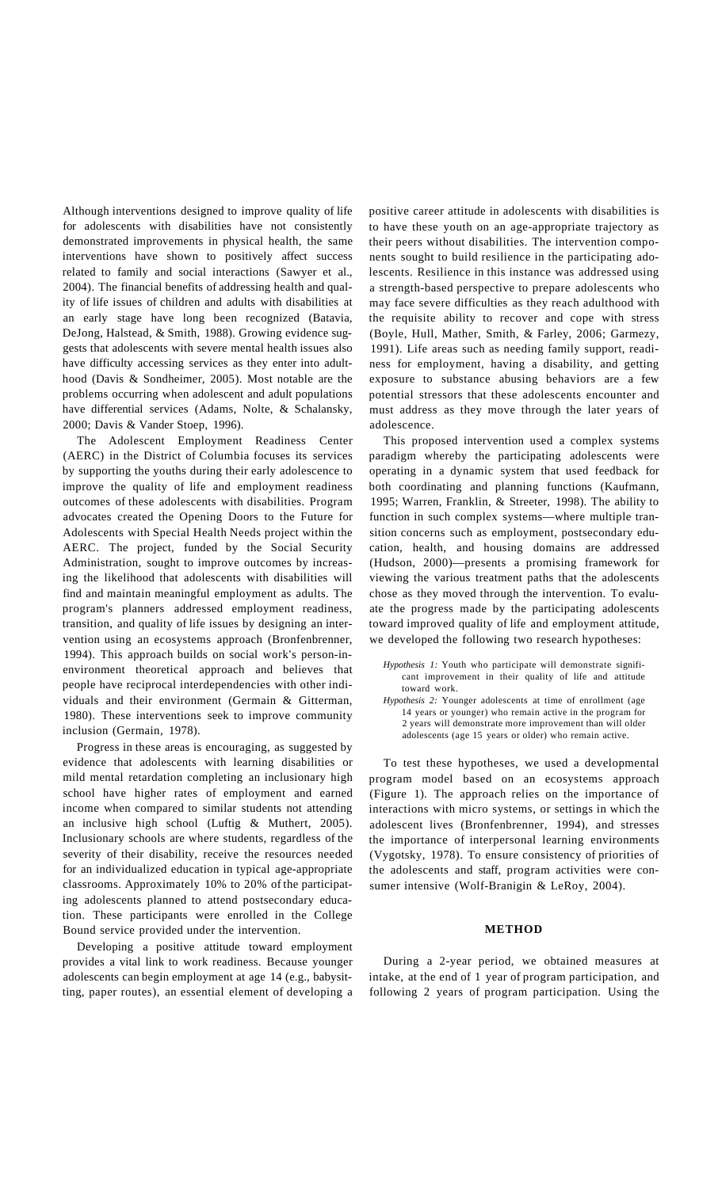Although interventions designed to improve quality of life for adolescents with disabilities have not consistently demonstrated improvements in physical health, the same interventions have shown to positively affect success related to family and social interactions (Sawyer et al., 2004). The financial benefits of addressing health and quality of life issues of children and adults with disabilities at an early stage have long been recognized (Batavia, DeJong, Halstead, & Smith, 1988). Growing evidence suggests that adolescents with severe mental health issues also have difficulty accessing services as they enter into adulthood (Davis & Sondheimer, 2005). Most notable are the problems occurring when adolescent and adult populations have differential services (Adams, Nolte, & Schalansky, 2000; Davis & Vander Stoep, 1996).

The Adolescent Employment Readiness Center (AERC) in the District of Columbia focuses its services by supporting the youths during their early adolescence to improve the quality of life and employment readiness outcomes of these adolescents with disabilities. Program advocates created the Opening Doors to the Future for Adolescents with Special Health Needs project within the AERC. The project, funded by the Social Security Administration, sought to improve outcomes by increasing the likelihood that adolescents with disabilities will find and maintain meaningful employment as adults. The program's planners addressed employment readiness, transition, and quality of life issues by designing an intervention using an ecosystems approach (Bronfenbrenner, 1994). This approach builds on social work's person-inenvironment theoretical approach and believes that people have reciprocal interdependencies with other individuals and their environment (Germain & Gitterman, 1980). These interventions seek to improve community inclusion (Germain, 1978).

Progress in these areas is encouraging, as suggested by evidence that adolescents with learning disabilities or mild mental retardation completing an inclusionary high school have higher rates of employment and earned income when compared to similar students not attending an inclusive high school (Luftig & Muthert, 2005). Inclusionary schools are where students, regardless of the severity of their disability, receive the resources needed for an individualized education in typical age-appropriate classrooms. Approximately 10% to 20% of the participating adolescents planned to attend postsecondary education. These participants were enrolled in the College Bound service provided under the intervention.

Developing a positive attitude toward employment provides a vital link to work readiness. Because younger adolescents can begin employment at age 14 (e.g., babysitting, paper routes), an essential element of developing a positive career attitude in adolescents with disabilities is to have these youth on an age-appropriate trajectory as their peers without disabilities. The intervention components sought to build resilience in the participating adolescents. Resilience in this instance was addressed using a strength-based perspective to prepare adolescents who may face severe difficulties as they reach adulthood with the requisite ability to recover and cope with stress (Boyle, Hull, Mather, Smith, & Farley, 2006; Garmezy, 1991). Life areas such as needing family support, readiness for employment, having a disability, and getting exposure to substance abusing behaviors are a few potential stressors that these adolescents encounter and must address as they move through the later years of adolescence.

This proposed intervention used a complex systems paradigm whereby the participating adolescents were operating in a dynamic system that used feedback for both coordinating and planning functions (Kaufmann, 1995; Warren, Franklin, & Streeter, 1998). The ability to function in such complex systems—where multiple transition concerns such as employment, postsecondary education, health, and housing domains are addressed (Hudson, 2000)—presents a promising framework for viewing the various treatment paths that the adolescents chose as they moved through the intervention. To evaluate the progress made by the participating adolescents toward improved quality of life and employment attitude, we developed the following two research hypotheses:

*Hypothesis 1:* Youth who participate will demonstrate significant improvement in their quality of life and attitude toward work.

*Hypothesis 2:* Younger adolescents at time of enrollment (age 14 years or younger) who remain active in the program for 2 years will demonstrate more improvement than will older adolescents (age 15 years or older) who remain active.

To test these hypotheses, we used a developmental program model based on an ecosystems approach (Figure 1). The approach relies on the importance of interactions with micro systems, or settings in which the adolescent lives (Bronfenbrenner, 1994), and stresses the importance of interpersonal learning environments (Vygotsky, 1978). To ensure consistency of priorities of the adolescents and staff, program activities were consumer intensive (Wolf-Branigin & LeRoy, 2004).

#### **METHOD**

During a 2-year period, we obtained measures at intake, at the end of 1 year of program participation, and following 2 years of program participation. Using the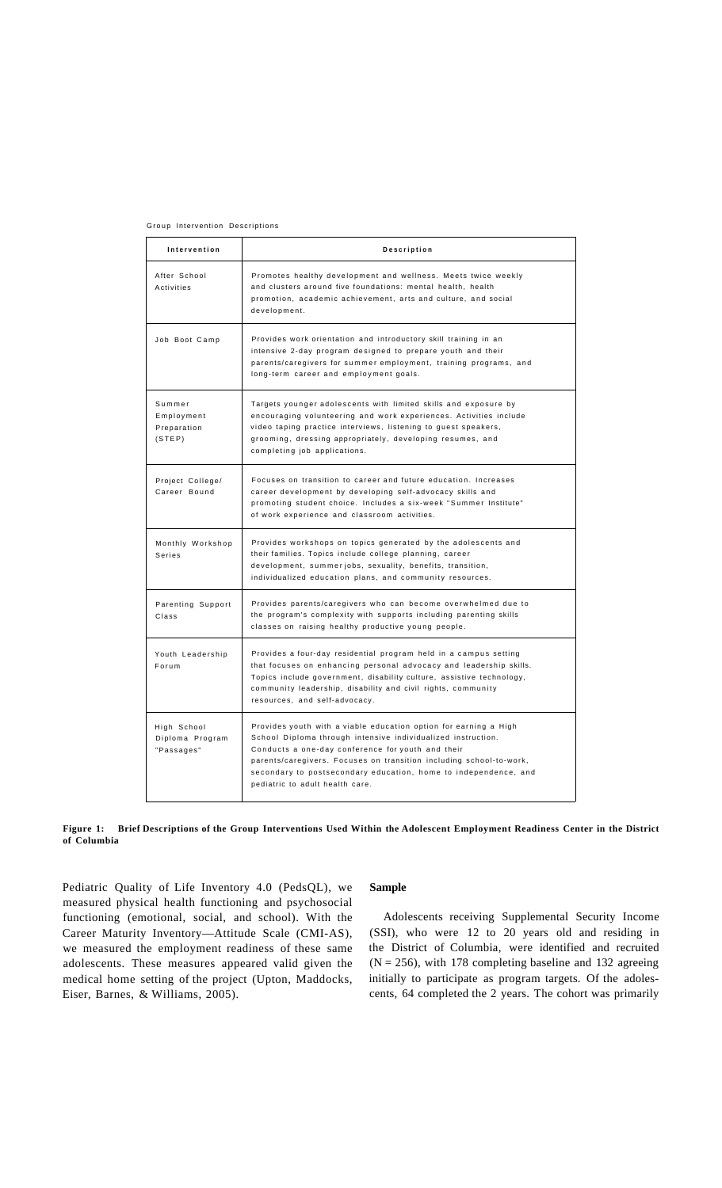Group Intervention Descriptions

| Intervention                                  | Description                                                                                                                                                                                                                                                                                                                                                        |
|-----------------------------------------------|--------------------------------------------------------------------------------------------------------------------------------------------------------------------------------------------------------------------------------------------------------------------------------------------------------------------------------------------------------------------|
| After School<br>Activities                    | Promotes healthy development and wellness. Meets twice weekly<br>and clusters around five foundations: mental health, health<br>promotion, academic achievement, arts and culture, and social<br>development.                                                                                                                                                      |
| Job Boot Camp                                 | Provides work orientation and introductory skill training in an<br>intensive 2-day program designed to prepare youth and their<br>parents/caregivers for summer employment, training programs, and<br>long-term career and employment goals.                                                                                                                       |
| Summer<br>Employment<br>Preparation<br>(STEP) | Targets younger adolescents with limited skills and exposure by<br>encouraging volunteering and work experiences. Activities include<br>video taping practice interviews, listening to guest speakers,<br>grooming, dressing appropriately, developing resumes, and<br>completing job applications.                                                                |
| Project College/<br>Career Bound              | Focuses on transition to career and future education. Increases<br>career development by developing self-advocacy skills and<br>promoting student choice. Includes a six-week "Summer Institute"<br>of work experience and classroom activities.                                                                                                                   |
| Monthly Workshop<br>Series                    | Provides workshops on topics generated by the adolescents and<br>their families. Topics include college planning, career<br>development, summerjobs, sexuality, benefits, transition,<br>individualized education plans, and community resources.                                                                                                                  |
| Parenting Support<br>Class                    | Provides parents/caregivers who can become overwhelmed due to<br>the program's complexity with supports including parenting skills<br>classes on raising healthy productive young people.                                                                                                                                                                          |
| Youth Leadership<br>Forum                     | Provides a four-day residential program held in a campus setting<br>that focuses on enhancing personal advocacy and leadership skills.<br>Topics include government, disability culture, assistive technology,<br>community leadership, disability and civil rights, community<br>resources, and self-advocacy.                                                    |
| High School<br>Diploma Program<br>"Passages"  | Provides youth with a viable education option for earning a High<br>School Diploma through intensive individualized instruction.<br>Conducts a one-day conference for youth and their<br>parents/caregivers. Focuses on transition including school-to-work,<br>secondary to postsecondary education, home to independence, and<br>pediatric to adult health care. |

**Figure 1: Brief Descriptions of the Group Interventions Used Within the Adolescent Employment Readiness Center in the District of Columbia** 

Pediatric Quality of Life Inventory 4.0 (PedsQL), we measured physical health functioning and psychosocial functioning (emotional, social, and school). With the Career Maturity Inventory—Attitude Scale (CMI-AS), we measured the employment readiness of these same adolescents. These measures appeared valid given the medical home setting of the project (Upton, Maddocks, Eiser, Barnes, & Williams, 2005).

# **Sample**

Adolescents receiving Supplemental Security Income (SSI), who were 12 to 20 years old and residing in the District of Columbia, were identified and recruited  $(N = 256)$ , with 178 completing baseline and 132 agreeing initially to participate as program targets. Of the adolescents, 64 completed the 2 years. The cohort was primarily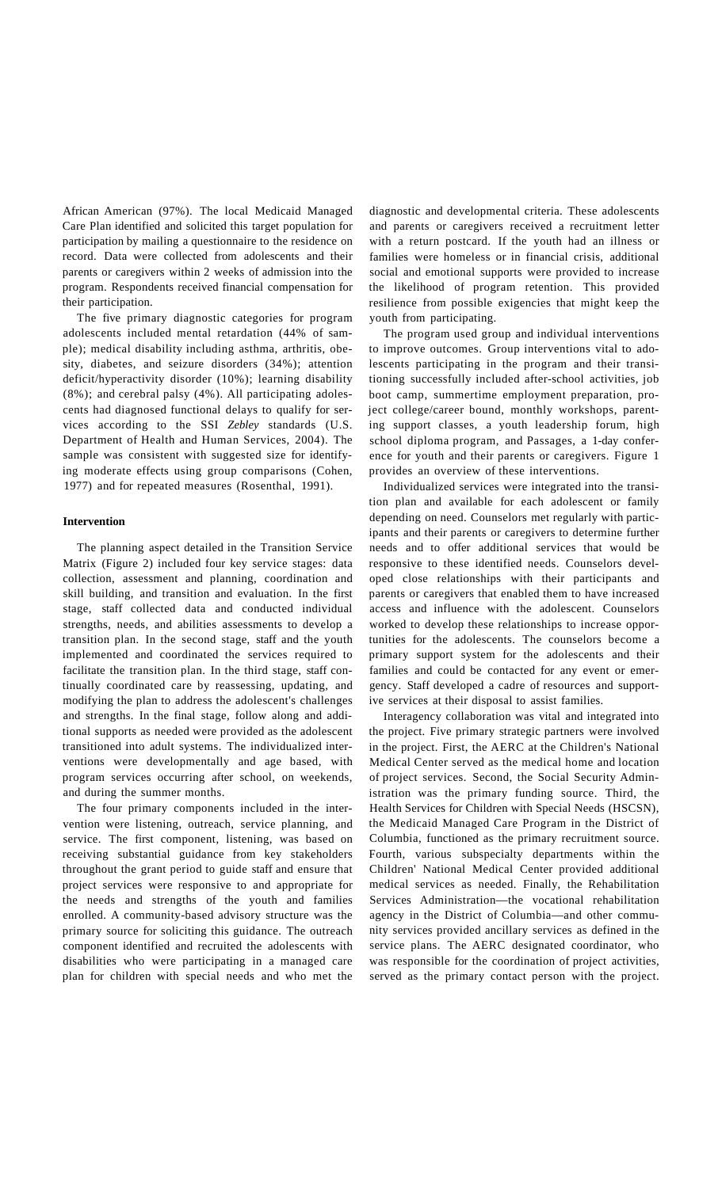African American (97%). The local Medicaid Managed Care Plan identified and solicited this target population for participation by mailing a questionnaire to the residence on record. Data were collected from adolescents and their parents or caregivers within 2 weeks of admission into the program. Respondents received financial compensation for their participation.

The five primary diagnostic categories for program adolescents included mental retardation (44% of sample); medical disability including asthma, arthritis, obesity, diabetes, and seizure disorders (34%); attention deficit/hyperactivity disorder (10%); learning disability (8%); and cerebral palsy (4%). All participating adolescents had diagnosed functional delays to qualify for services according to the SSI *Zebley* standards (U.S. Department of Health and Human Services, 2004). The sample was consistent with suggested size for identifying moderate effects using group comparisons (Cohen, 1977) and for repeated measures (Rosenthal, 1991).

#### **Intervention**

The planning aspect detailed in the Transition Service Matrix (Figure 2) included four key service stages: data collection, assessment and planning, coordination and skill building, and transition and evaluation. In the first stage, staff collected data and conducted individual strengths, needs, and abilities assessments to develop a transition plan. In the second stage, staff and the youth implemented and coordinated the services required to facilitate the transition plan. In the third stage, staff continually coordinated care by reassessing, updating, and modifying the plan to address the adolescent's challenges and strengths. In the final stage, follow along and additional supports as needed were provided as the adolescent transitioned into adult systems. The individualized interventions were developmentally and age based, with program services occurring after school, on weekends, and during the summer months.

The four primary components included in the intervention were listening, outreach, service planning, and service. The first component, listening, was based on receiving substantial guidance from key stakeholders throughout the grant period to guide staff and ensure that project services were responsive to and appropriate for the needs and strengths of the youth and families enrolled. A community-based advisory structure was the primary source for soliciting this guidance. The outreach component identified and recruited the adolescents with disabilities who were participating in a managed care plan for children with special needs and who met the diagnostic and developmental criteria. These adolescents and parents or caregivers received a recruitment letter with a return postcard. If the youth had an illness or families were homeless or in financial crisis, additional social and emotional supports were provided to increase the likelihood of program retention. This provided resilience from possible exigencies that might keep the youth from participating.

The program used group and individual interventions to improve outcomes. Group interventions vital to adolescents participating in the program and their transitioning successfully included after-school activities, job boot camp, summertime employment preparation, project college/career bound, monthly workshops, parenting support classes, a youth leadership forum, high school diploma program, and Passages, a 1-day conference for youth and their parents or caregivers. Figure 1 provides an overview of these interventions.

Individualized services were integrated into the transition plan and available for each adolescent or family depending on need. Counselors met regularly with participants and their parents or caregivers to determine further needs and to offer additional services that would be responsive to these identified needs. Counselors developed close relationships with their participants and parents or caregivers that enabled them to have increased access and influence with the adolescent. Counselors worked to develop these relationships to increase opportunities for the adolescents. The counselors become a primary support system for the adolescents and their families and could be contacted for any event or emergency. Staff developed a cadre of resources and supportive services at their disposal to assist families.

Interagency collaboration was vital and integrated into the project. Five primary strategic partners were involved in the project. First, the AERC at the Children's National Medical Center served as the medical home and location of project services. Second, the Social Security Administration was the primary funding source. Third, the Health Services for Children with Special Needs (HSCSN), the Medicaid Managed Care Program in the District of Columbia, functioned as the primary recruitment source. Fourth, various subspecialty departments within the Children' National Medical Center provided additional medical services as needed. Finally, the Rehabilitation Services Administration—the vocational rehabilitation agency in the District of Columbia—and other community services provided ancillary services as defined in the service plans. The AERC designated coordinator, who was responsible for the coordination of project activities, served as the primary contact person with the project.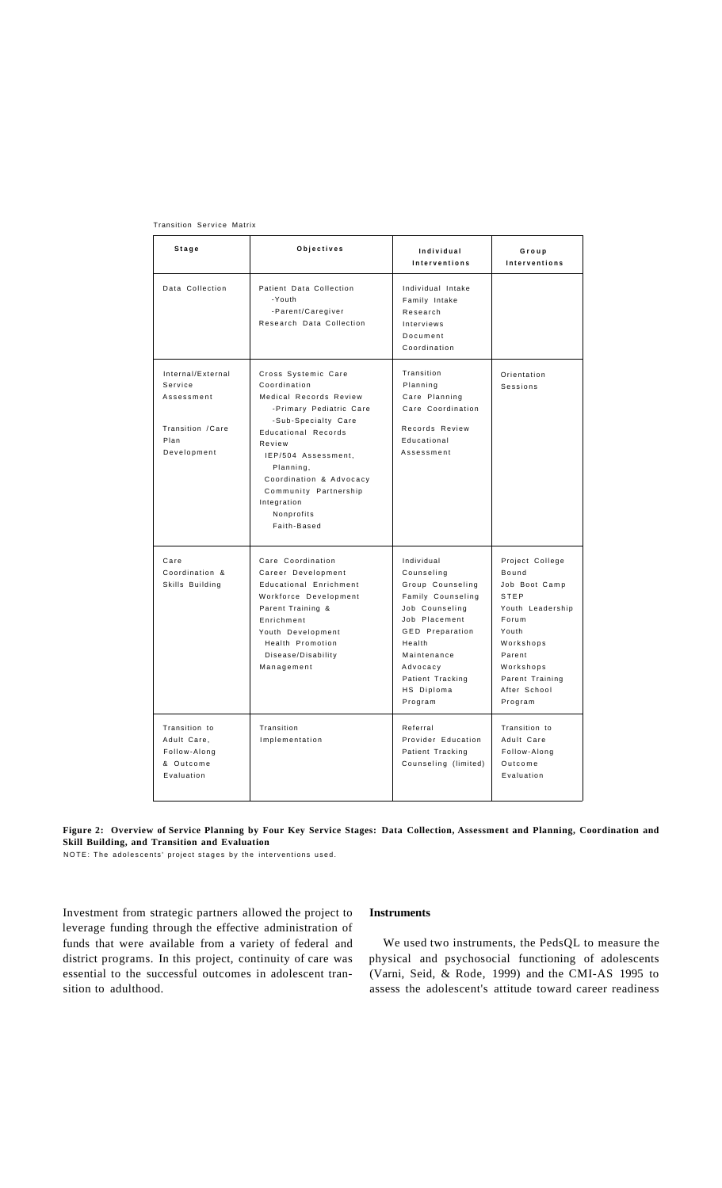| Stage                                                                                  | Objectives                                                                                                                                                                                                                                                                                  | Individual<br>Interventions                                                                                                                                                                                      | Group<br>Interventions                                                                                                                                                           |  |
|----------------------------------------------------------------------------------------|---------------------------------------------------------------------------------------------------------------------------------------------------------------------------------------------------------------------------------------------------------------------------------------------|------------------------------------------------------------------------------------------------------------------------------------------------------------------------------------------------------------------|----------------------------------------------------------------------------------------------------------------------------------------------------------------------------------|--|
| Data Collection                                                                        | Patient Data Collection<br>-Youth<br>-Parent/Caregiver<br>Research Data Collection                                                                                                                                                                                                          | Individual Intake<br>Family Intake<br>Research<br>Interviews<br>Document<br>Coordination                                                                                                                         |                                                                                                                                                                                  |  |
| Internal/External<br>Service<br>Assessment<br>Transition / Care<br>Plan<br>Development | Cross Systemic Care<br>Coordination<br>Medical Records Review<br>-Primary Pediatric Care<br>-Sub-Specialty Care<br><b>Educational Records</b><br>Review<br>IEP/504 Assessment,<br>Planning,<br>Coordination & Advocacy<br>Community Partnership<br>Integration<br>Nonprofits<br>Faith-Based | Transition<br>Planning<br>Care Planning<br>Care Coordination<br>Records Review<br>Educational<br>Assessment                                                                                                      | Orientation<br>Sessions                                                                                                                                                          |  |
| Care<br>Coordination &<br>Skills Building                                              | Care Coordination<br>Career Development<br>Educational Enrichment<br>Workforce Development<br>Parent Training &<br>Enrichment<br>Youth Development<br>Health Promotion<br>Disease/Disability<br>Management                                                                                  | Individual<br>Counseling<br>Group Counseling<br>Family Counseling<br>Job Counseling<br>Job Placement<br><b>GED</b> Preparation<br>Health<br>Maintenance<br>Advocacy<br>Patient Tracking<br>HS Diploma<br>Program | Project College<br>Bound<br>Job Boot Camp<br><b>STEP</b><br>Youth Leadership<br>Forum<br>Youth<br>Workshops<br>Parent<br>Workshops<br>Parent Training<br>After School<br>Program |  |
| Transition to<br>Adult Care,<br>Follow-Along<br>& Outcome<br>Evaluation                | Transition<br>Implementation                                                                                                                                                                                                                                                                | Referral<br>Provider Education<br>Patient Tracking<br>Counseling (limited)                                                                                                                                       | Transition to<br>Adult Care<br>Follow-Along<br>Outcome<br>Evaluation                                                                                                             |  |

Transition Service Matrix

**Figure 2: Overview of Service Planning by Four Key Service Stages: Data Collection, Assessment and Planning, Coordination and Skill Building, and Transition and Evaluation** 

NOTE: The adolescents' project stages by the interventions used.

Investment from strategic partners allowed the project to leverage funding through the effective administration of funds that were available from a variety of federal and district programs. In this project, continuity of care was essential to the successful outcomes in adolescent transition to adulthood.

### **Instruments**

We used two instruments, the PedsQL to measure the physical and psychosocial functioning of adolescents (Varni, Seid, & Rode, 1999) and the CMI-AS 1995 to assess the adolescent's attitude toward career readiness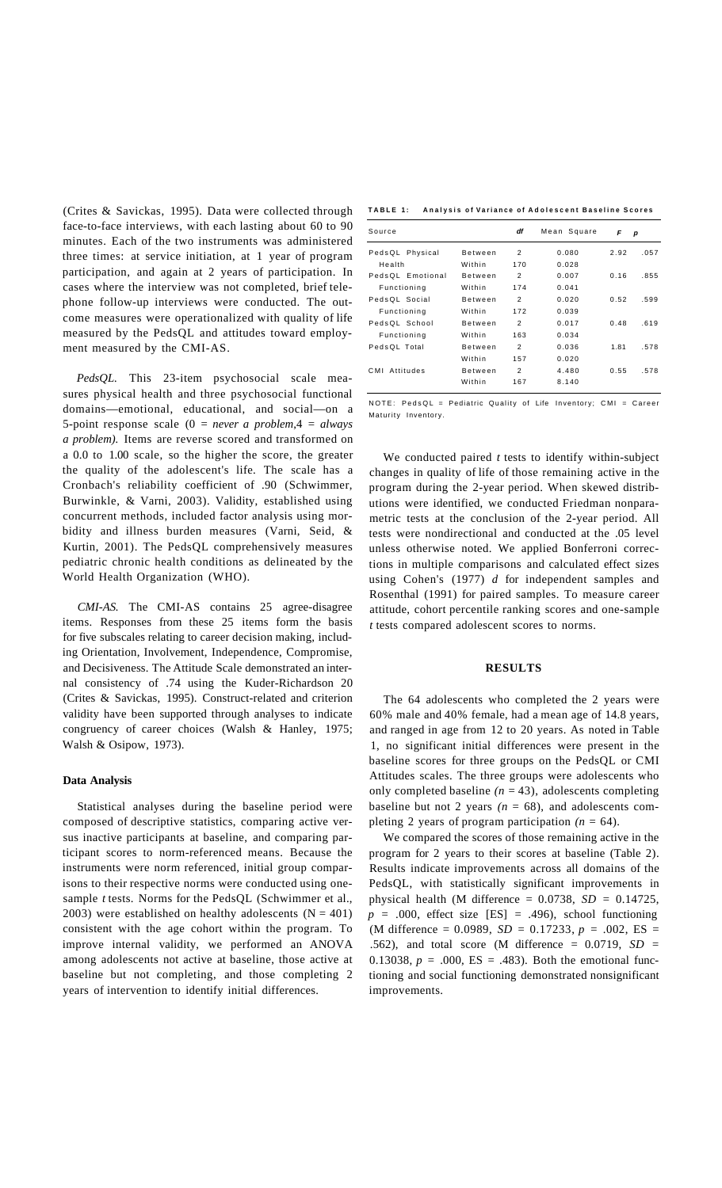(Crites & Savickas, 1995). Data were collected through face-to-face interviews, with each lasting about 60 to 90 minutes. Each of the two instruments was administered three times: at service initiation, at 1 year of program participation, and again at 2 years of participation. In cases where the interview was not completed, brief telephone follow-up interviews were conducted. The outcome measures were operationalized with quality of life measured by the PedsQL and attitudes toward employment measured by the CMI-AS.

*PedsQL.* This 23-item psychosocial scale measures physical health and three psychosocial functional domains—emotional, educational, and social—on a 5-point response scale (0 = *never a problem*,4 = *always a problem).* Items are reverse scored and transformed on a 0.0 to 1.00 scale, so the higher the score, the greater the quality of the adolescent's life. The scale has a Cronbach's reliability coefficient of .90 (Schwimmer, Burwinkle, & Varni, 2003). Validity, established using concurrent methods, included factor analysis using morbidity and illness burden measures (Varni, Seid, & Kurtin, 2001). The PedsQL comprehensively measures pediatric chronic health conditions as delineated by the World Health Organization (WHO).

*CMI-AS.* The CMI-AS contains 25 agree-disagree items. Responses from these 25 items form the basis for five subscales relating to career decision making, including Orientation, Involvement, Independence, Compromise, and Decisiveness. The Attitude Scale demonstrated an internal consistency of .74 using the Kuder-Richardson 20 (Crites & Savickas, 1995). Construct-related and criterion validity have been supported through analyses to indicate congruency of career choices (Walsh & Hanley, 1975; Walsh & Osipow, 1973).

# **Data Analysis**

Statistical analyses during the baseline period were composed of descriptive statistics, comparing active versus inactive participants at baseline, and comparing participant scores to norm-referenced means. Because the instruments were norm referenced, initial group comparisons to their respective norms were conducted using onesample *t* tests. Norms for the PedsQL (Schwimmer et al., 2003) were established on healthy adolescents  $(N = 401)$ consistent with the age cohort within the program. To improve internal validity, we performed an ANOVA among adolescents not active at baseline, those active at baseline but not completing, and those completing 2 years of intervention to identify initial differences.

**TABL E 1 : Analysi s o f Varianc e o f Adolescen t Baselin e Score s** 

| Source             |                | df             | Mean Square | F    | р    |
|--------------------|----------------|----------------|-------------|------|------|
| PedsQL Physical    | Between        | $\overline{2}$ | 0.080       | 2.92 | .057 |
| Health             | Within         | 170            | 0.028       |      |      |
| PedsOL Emotional   | Between        | $\overline{2}$ | 0.007       | 0.16 | .855 |
| Functioning        | Within         | 174            | 0.041       |      |      |
| PedsOL Social      | Between        | $\overline{2}$ | 0.020       | 0.52 | .599 |
| Functioning        | Within         | 172            | 0.039       |      |      |
| PedsQL School      | Between        | $\overline{2}$ | 0.017       | 0.48 | .619 |
| Functioning        | Within         | 163            | 0.034       |      |      |
| PedsQL Total       | Between        | $\overline{2}$ | 0.036       | 1.81 | .578 |
|                    | Within         | 157            | 0.020       |      |      |
| Attitudes<br>C M I | <b>Between</b> | $\overline{2}$ | 4.480       | 0.55 | .578 |
|                    | Within         | 167            | 8.140       |      |      |

NOTE: PedsQL = Pediatric Quality of Life Inventory; CMI = Career Maturity Inventory.

We conducted paired *t* tests to identify within-subject changes in quality of life of those remaining active in the program during the 2-year period. When skewed distributions were identified, we conducted Friedman nonparametric tests at the conclusion of the 2-year period. All tests were nondirectional and conducted at the .05 level unless otherwise noted. We applied Bonferroni corrections in multiple comparisons and calculated effect sizes using Cohen's (1977) *d* for independent samples and Rosenthal (1991) for paired samples. To measure career attitude, cohort percentile ranking scores and one-sample *t* tests compared adolescent scores to norms.

#### **RESULTS**

The 64 adolescents who completed the 2 years were 60% male and 40% female, had a mean age of 14.8 years, and ranged in age from 12 to 20 years. As noted in Table 1, no significant initial differences were present in the baseline scores for three groups on the PedsQL or CMI Attitudes scales. The three groups were adolescents who only completed baseline  $(n = 43)$ , adolescents completing baseline but not 2 years  $(n = 68)$ , and adolescents completing 2 years of program participation  $(n = 64)$ .

We compared the scores of those remaining active in the program for 2 years to their scores at baseline (Table 2). Results indicate improvements across all domains of the PedsQL, with statistically significant improvements in physical health (M difference = 0.0738, *SD =* 0.14725,  $p = .000$ , effect size [ES] = .496), school functioning (M difference = 0.0989, *SD =* 0.17233, *p =* .002, ES = .562), and total score (M difference = 0.0719, *SD =*  0.13038,  $p = .000$ , ES = .483). Both the emotional functioning and social functioning demonstrated nonsignificant improvements.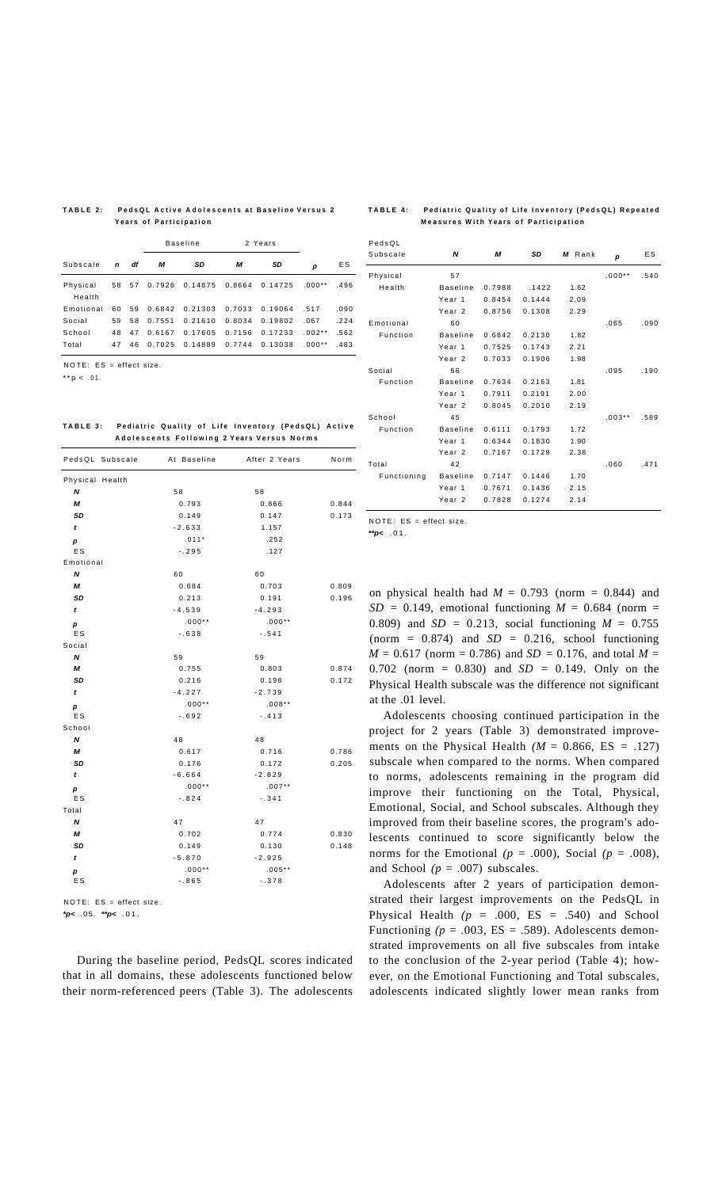#### **TABL E 2 : PedsQ L Activ e Adolescent s a t Baselin e Versu s 2 Year s o f Participatio n**

#### **TABL E 4 : Pediatri c Qualit y o f Lif e Inventor y (PedsQL ) Repeate d Measure s Wit h Year s o f Participatio n**

|                    |    |    | <b>Baseline</b> |                | 2 Years |         |          |      |
|--------------------|----|----|-----------------|----------------|---------|---------|----------|------|
| Subscale           | n  | df | м               | SD             | М       | SD      | р        | ES   |
| Physical<br>Health | 58 | 57 |                 | 0.7926 0.14875 | 0.8664  | 0.14725 | $.000**$ | .496 |
| Emotional          | 60 | 59 |                 | 0.6842 0.21303 | 0.7033  | 0.19064 | .517     | .090 |
| Social             | 59 | 58 | 0.7551          | 0.21610        | 0.8034  | 0.19802 | .067     | .224 |
| School             | 48 | 47 | 0.6167          | 0.17605        | 0.7156  | 0.17233 | $.002**$ | .562 |
| Total              | 47 | 46 | 0.7025          | 0.14889        | 0.7744  | 0.13038 | $.000**$ | .483 |

NOTE: ES = effect size.

 $* p < .01$ .

**TABL E 3 : Pediatri c Qualit y o f Lif e Inventor y (PedsQL ) Activ e Adolescent s Followin g 2 Year s Versu s Norm s** 

| PedsQL Subscale           | At Baseline | After 2 Years | Norm  |
|---------------------------|-------------|---------------|-------|
| Physical Health           |             |               |       |
| N                         | 58          | 58            |       |
| М                         | 0.793       | 0.866         | 0.844 |
| SD                        | 0.149       | 0.147         | 0.173 |
| t                         | $-2.633$    | 1.157         |       |
| р                         | $.011*$     | .252          |       |
| <b>ES</b>                 | $-.295$     | .127          |       |
| Emotional                 |             |               |       |
| N                         | 60          | 60            |       |
| М                         | 0.684       | 0.703         | 0.809 |
| SD                        | 0.213       | 0.191         | 0.196 |
| t                         | $-4.539$    | $-4.293$      |       |
| р                         | $.000**$    | $.000**$      |       |
| ES                        | $-.638$     | $-.541$       |       |
| Social                    |             |               |       |
| N                         | 59          | 59            |       |
| М                         | 0.755       | 0.803         | 0.874 |
| SD                        | 0.216       | 0.198         | 0.172 |
| t                         | $-4.227$    | $-2.739$      |       |
| р                         | $.000**$    | $.008**$      |       |
| ES                        | $-.692$     | $-.413$       |       |
| School                    |             |               |       |
| $\boldsymbol{\mathsf{N}}$ | 48          | 48            |       |
| М                         | 0.617       | 0.716         | 0.786 |
| SD                        | 0.176       | 0.172         | 0.205 |
| t                         | $-6.664$    | $-2.829$      |       |
| р                         | $.000**$    | $.007**$      |       |
| ES                        | $-.824$     | $-.341$       |       |
| Total                     |             |               |       |
| N                         | 47          | 47            |       |
| М                         | 0.702       | 0.774         | 0.830 |
| SD                        | 0.149       | 0.130         | 0.148 |
| t                         | $-5.870$    | $-2.925$      |       |
| р                         | $.000**$    | $.005**$      |       |
| ES                        | $-.865$     | $-.378$       |       |

NOTE: ES = effect size.

**\*p<** .05. **\*\*p<** .01 .

During the baseline period, PedsQL scores indicated that in all domains, these adolescents functioned below their norm-referenced peers (Table 3). The adolescents

| PedsQL      |                   |        |        |        |          |      |
|-------------|-------------------|--------|--------|--------|----------|------|
| Subscale    | N                 | М      | SD     | M Rank | p        | E S  |
| Physical    | 57                |        |        |        | $.000**$ | .540 |
| Health      | <b>Baseline</b>   | 0.7988 | .1422  | 1.62   |          |      |
|             | Year <sub>1</sub> | 0.8454 | 0.1444 | 2.09   |          |      |
|             | Year <sub>2</sub> | 0.8756 | 0.1308 | 2.29   |          |      |
| Emotional   | 60                |        |        |        | .065     | .090 |
| Function    | <b>Baseline</b>   | 0.6842 | 0.2130 | 1.82   |          |      |
|             | Year <sub>1</sub> | 0.7525 | 0.1743 | 2.21   |          |      |
|             | Year <sub>2</sub> | 0.7033 | 0.1906 | 1.98   |          |      |
| Social      | 56                |        |        |        | .095     | .190 |
| Function    | <b>Baseline</b>   | 0.7634 | 0.2163 | 1.81   |          |      |
|             | Year <sub>1</sub> | 0.7911 | 0.2191 | 2.00   |          |      |
|             | Year <sub>2</sub> | 0.8045 | 0.2010 | 2.19   |          |      |
| School      | 45                |        |        |        | $.003**$ | .589 |
| Function    | <b>Baseline</b>   | 0.6111 | 0.1793 | 1.72   |          |      |
|             | Year <sub>1</sub> | 0.6344 | 0.1830 | 1.90   |          |      |
|             | Year <sub>2</sub> | 0.7167 | 0.1729 | 2.38   |          |      |
| Total       | 42                |        |        |        | .060     | .471 |
| Functioning | <b>Baseline</b>   | 0.7147 | 0.1446 | 1.70   |          |      |
|             | Year <sub>1</sub> | 0.7671 | 0.1436 | 2.15   |          |      |
|             | Year <sub>2</sub> | 0.7828 | 0.1274 | 2.14   |          |      |

NOTE: ES = effect size.

**\*\*p<** .01 .

on physical health had  $M = 0.793$  (norm = 0.844) and  $SD = 0.149$ , emotional functioning  $M = 0.684$  (norm = 0.809) and *SD =* 0.213, social functioning *M =* 0.755 (norm =  $0.874$ ) and  $SD = 0.216$ , school functioning *M =* 0.617 (norm = 0.786) and *SD =* 0.176, and total *M =*  0.702 (norm = 0.830) and *SD =* 0.149. Only on the Physical Health subscale was the difference not significant at the .01 level.

Adolescents choosing continued participation in the project for 2 years (Table 3) demonstrated improvements on the Physical Health  $(M = 0.866, ES = .127)$ subscale when compared to the norms. When compared to norms, adolescents remaining in the program did improve their functioning on the Total, Physical, Emotional, Social, and School subscales. Although they improved from their baseline scores, the program's adolescents continued to score significantly below the norms for the Emotional  $(p = .000)$ , Social  $(p = .008)$ , and School *(p* = .007) subscales.

Adolescents after 2 years of participation demonstrated their largest improvements on the PedsQL in Physical Health  $(p = .000, ES = .540)$  and School Functioning  $(p = .003, ES = .589)$ . Adolescents demonstrated improvements on all five subscales from intake to the conclusion of the 2-year period (Table 4); however, on the Emotional Functioning and Total subscales, adolescents indicated slightly lower mean ranks from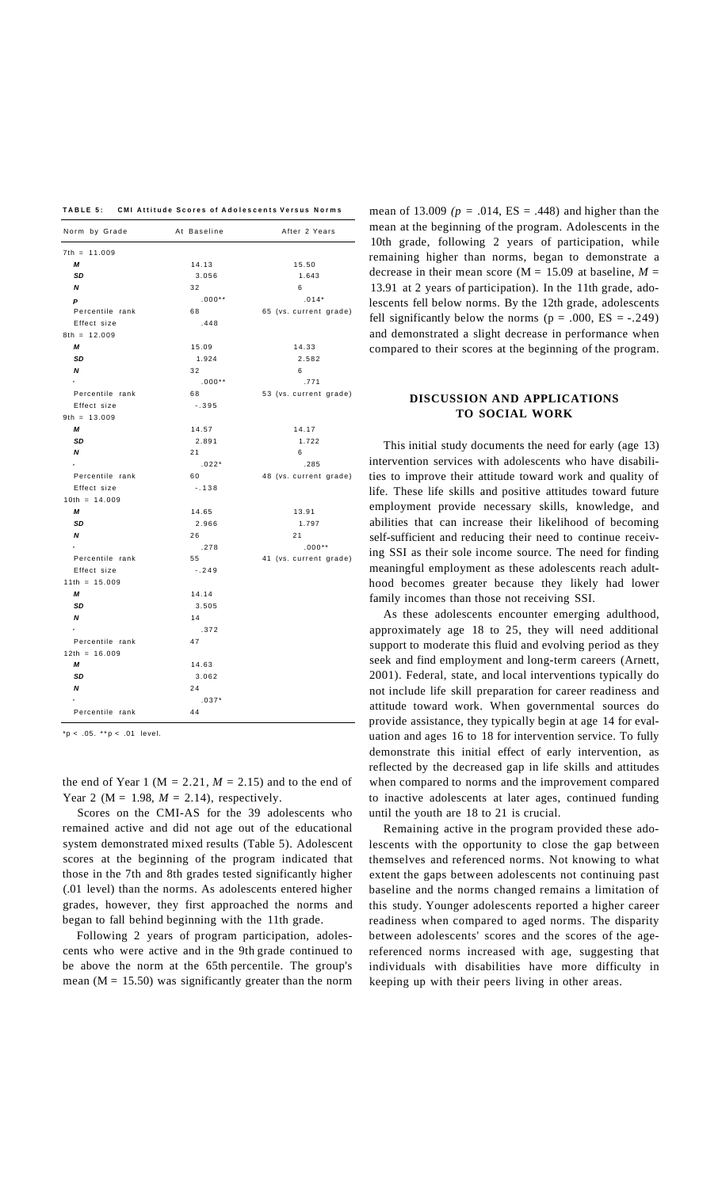**TABL E 5 : CM I Attitud e Score s o f Adolescent s Versu s Norm s** 

| Norm by Grade             | At Baseline | After 2 Years          |
|---------------------------|-------------|------------------------|
| $7th = 11.009$            |             |                        |
| М                         | 14.13       | 15.50                  |
| SD                        | 3.056       | 1.643                  |
| $\boldsymbol{\mathsf{N}}$ | 32          | 6                      |
| P                         | $.000**$    | $.014*$                |
| Percentile rank           | 68          | 65 (vs. current grade) |
| Effect size               | .448        |                        |
| $8th = 12.009$            |             |                        |
| М                         | 15.09       | 14.33                  |
| SD                        | 1.924       | 2.582                  |
| N                         | 32          | 6                      |
| $\mathbf{r}$              | $.000**$    | .771                   |
| Percentile rank           | 68          | 53 (vs. current grade) |
| Effect size               | $-.395$     |                        |
| $9th = 13.009$            |             |                        |
| М                         | 14.57       | 14.17                  |
| SD                        | 2.891       | 1.722                  |
| N                         | 21          | 6                      |
| $\mathbf{P}$              | $.022*$     | .285                   |
| Percentile rank           | 60          | 48 (vs. current grade) |
| Effect size               | $-.138$     |                        |
| $10th = 14.009$           |             |                        |
| М                         | 14.65       | 13.91                  |
| SD                        | 2.966       | 1.797                  |
| N                         | 26          | 21                     |
| $\bar{P}$                 | .278        | $.000**$               |
| Percentile rank           | 55          | 41 (vs. current grade) |
| Effect size               | $-.249$     |                        |
| $11th = 15.009$           |             |                        |
| М                         | 14.14       |                        |
| SD                        | 3.505       |                        |
| N                         | 14          |                        |
| $\mathbf{P}$              | .372        |                        |
| Percentile rank           | 47          |                        |
| $12th = 16.009$           |             |                        |
| М                         | 14.63       |                        |
| SD                        | 3.062       |                        |
| N                         | 24          |                        |
|                           | $.037*$     |                        |
| Percentile rank           | 44          |                        |

 $*p < .05.$   $* p < .01$  level.

the end of Year 1 ( $M = 2.21$ ,  $M = 2.15$ ) and to the end of Year 2 ( $M = 1.98$ ,  $M = 2.14$ ), respectively.

Scores on the CMI-AS for the 39 adolescents who remained active and did not age out of the educational system demonstrated mixed results (Table 5). Adolescent scores at the beginning of the program indicated that those in the 7th and 8th grades tested significantly higher (.01 level) than the norms. As adolescents entered higher grades, however, they first approached the norms and began to fall behind beginning with the 11th grade.

Following 2 years of program participation, adolescents who were active and in the 9th grade continued to be above the norm at the 65th percentile. The group's mean ( $M = 15.50$ ) was significantly greater than the norm

mean of 13.009 ( $p = .014$ ,  $ES = .448$ ) and higher than the mean at the beginning of the program. Adolescents in the 10th grade, following 2 years of participation, while remaining higher than norms, began to demonstrate a decrease in their mean score ( $M = 15.09$  at baseline,  $M =$ 13.91 at 2 years of participation). In the 11th grade, adolescents fell below norms. By the 12th grade, adolescents fell significantly below the norms ( $p = .000$ ,  $ES = -.249$ ) and demonstrated a slight decrease in performance when compared to their scores at the beginning of the program.

# **DISCUSSION AND APPLICATIONS TO SOCIAL WORK**

This initial study documents the need for early (age 13) intervention services with adolescents who have disabilities to improve their attitude toward work and quality of life. These life skills and positive attitudes toward future employment provide necessary skills, knowledge, and abilities that can increase their likelihood of becoming self-sufficient and reducing their need to continue receiving SSI as their sole income source. The need for finding meaningful employment as these adolescents reach adulthood becomes greater because they likely had lower family incomes than those not receiving SSI.

As these adolescents encounter emerging adulthood, approximately age 18 to 25, they will need additional support to moderate this fluid and evolving period as they seek and find employment and long-term careers (Arnett, 2001). Federal, state, and local interventions typically do not include life skill preparation for career readiness and attitude toward work. When governmental sources do provide assistance, they typically begin at age 14 for evaluation and ages 16 to 18 for intervention service. To fully demonstrate this initial effect of early intervention, as reflected by the decreased gap in life skills and attitudes when compared to norms and the improvement compared to inactive adolescents at later ages, continued funding until the youth are 18 to 21 is crucial.

Remaining active in the program provided these adolescents with the opportunity to close the gap between themselves and referenced norms. Not knowing to what extent the gaps between adolescents not continuing past baseline and the norms changed remains a limitation of this study. Younger adolescents reported a higher career readiness when compared to aged norms. The disparity between adolescents' scores and the scores of the agereferenced norms increased with age, suggesting that individuals with disabilities have more difficulty in keeping up with their peers living in other areas.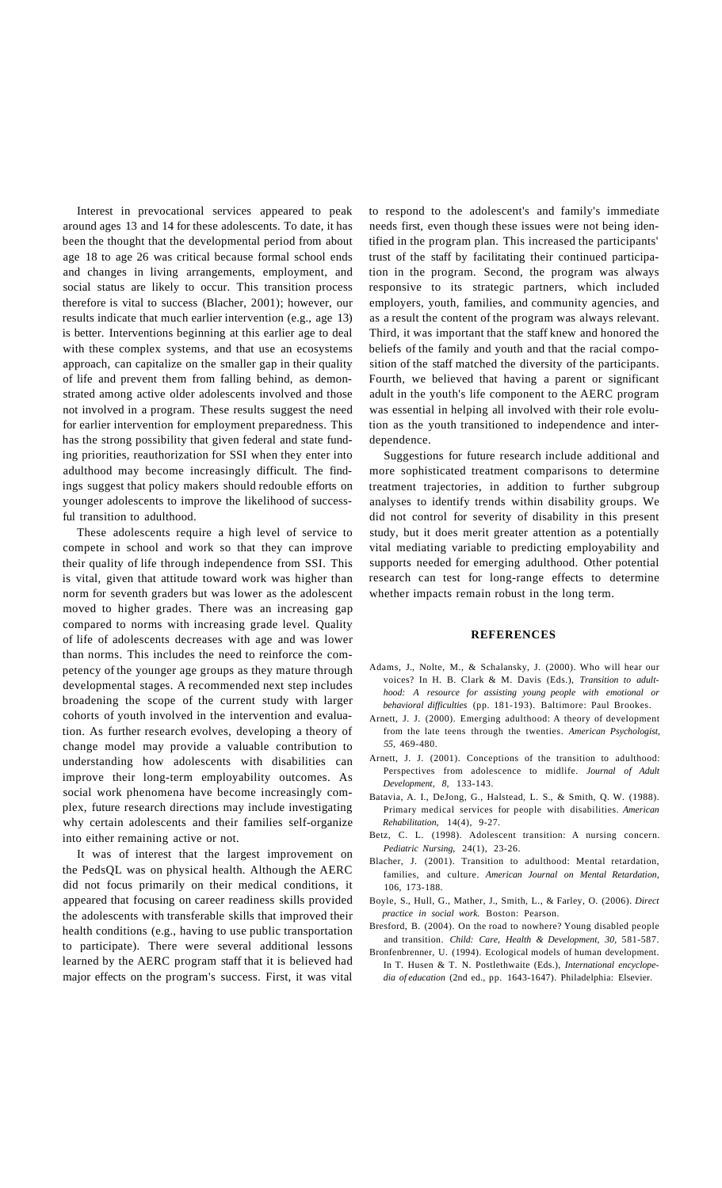Interest in prevocational services appeared to peak around ages 13 and 14 for these adolescents. To date, it has been the thought that the developmental period from about age 18 to age 26 was critical because formal school ends and changes in living arrangements, employment, and social status are likely to occur. This transition process therefore is vital to success (Blacher, 2001); however, our results indicate that much earlier intervention (e.g., age 13) is better. Interventions beginning at this earlier age to deal with these complex systems, and that use an ecosystems approach, can capitalize on the smaller gap in their quality of life and prevent them from falling behind, as demonstrated among active older adolescents involved and those not involved in a program. These results suggest the need for earlier intervention for employment preparedness. This has the strong possibility that given federal and state funding priorities, reauthorization for SSI when they enter into adulthood may become increasingly difficult. The findings suggest that policy makers should redouble efforts on younger adolescents to improve the likelihood of successful transition to adulthood.

These adolescents require a high level of service to compete in school and work so that they can improve their quality of life through independence from SSI. This is vital, given that attitude toward work was higher than norm for seventh graders but was lower as the adolescent moved to higher grades. There was an increasing gap compared to norms with increasing grade level. Quality of life of adolescents decreases with age and was lower than norms. This includes the need to reinforce the competency of the younger age groups as they mature through developmental stages. A recommended next step includes broadening the scope of the current study with larger cohorts of youth involved in the intervention and evaluation. As further research evolves, developing a theory of change model may provide a valuable contribution to understanding how adolescents with disabilities can improve their long-term employability outcomes. As social work phenomena have become increasingly complex, future research directions may include investigating why certain adolescents and their families self-organize into either remaining active or not.

It was of interest that the largest improvement on the PedsQL was on physical health. Although the AERC did not focus primarily on their medical conditions, it appeared that focusing on career readiness skills provided the adolescents with transferable skills that improved their health conditions (e.g., having to use public transportation to participate). There were several additional lessons learned by the AERC program staff that it is believed had major effects on the program's success. First, it was vital

to respond to the adolescent's and family's immediate needs first, even though these issues were not being identified in the program plan. This increased the participants' trust of the staff by facilitating their continued participation in the program. Second, the program was always responsive to its strategic partners, which included employers, youth, families, and community agencies, and as a result the content of the program was always relevant. Third, it was important that the staff knew and honored the beliefs of the family and youth and that the racial composition of the staff matched the diversity of the participants. Fourth, we believed that having a parent or significant adult in the youth's life component to the AERC program was essential in helping all involved with their role evolution as the youth transitioned to independence and interdependence.

Suggestions for future research include additional and more sophisticated treatment comparisons to determine treatment trajectories, in addition to further subgroup analyses to identify trends within disability groups. We did not control for severity of disability in this present study, but it does merit greater attention as a potentially vital mediating variable to predicting employability and supports needed for emerging adulthood. Other potential research can test for long-range effects to determine whether impacts remain robust in the long term.

#### **REFERENCES**

- Adams, J., Nolte, M., & Schalansky, J. (2000). Who will hear our voices? In H. B. Clark & M. Davis (Eds.), *Transition to adulthood: A resource for assisting young people with emotional or behavioral difficulties* (pp. 181-193). Baltimore: Paul Brookes.
- Arnett, J. J. (2000). Emerging adulthood: A theory of development from the late teens through the twenties. *American Psychologist, 55,* 469-480.
- Arnett, J. J. (2001). Conceptions of the transition to adulthood: Perspectives from adolescence to midlife. *Journal of Adult Development, 8,* 133-143.
- Batavia, A. I., DeJong, G., Halstead, L. S., & Smith, Q. W. (1988). Primary medical services for people with disabilities. *American Rehabilitation,* 14(4), 9-27.
- Betz, C. L. (1998). Adolescent transition: A nursing concern. *Pediatric Nursing,* 24(1), 23-26.
- Blacher, J. (2001). Transition to adulthood: Mental retardation, families, and culture. *American Journal on Mental Retardation,*  106, 173-188.
- Boyle, S., Hull, G., Mather, J., Smith, L., & Farley, O. (2006). *Direct practice in social work.* Boston: Pearson.
- Bresford, B. (2004). On the road to nowhere? Young disabled people and transition. *Child: Care, Health & Development, 30,* 581-587.
- Bronfenbrenner, U. (1994). Ecological models of human development. In T. Husen & T. N. Postlethwaite (Eds.), *International encyclopedia of education* (2nd ed., pp. 1643-1647). Philadelphia: Elsevier.